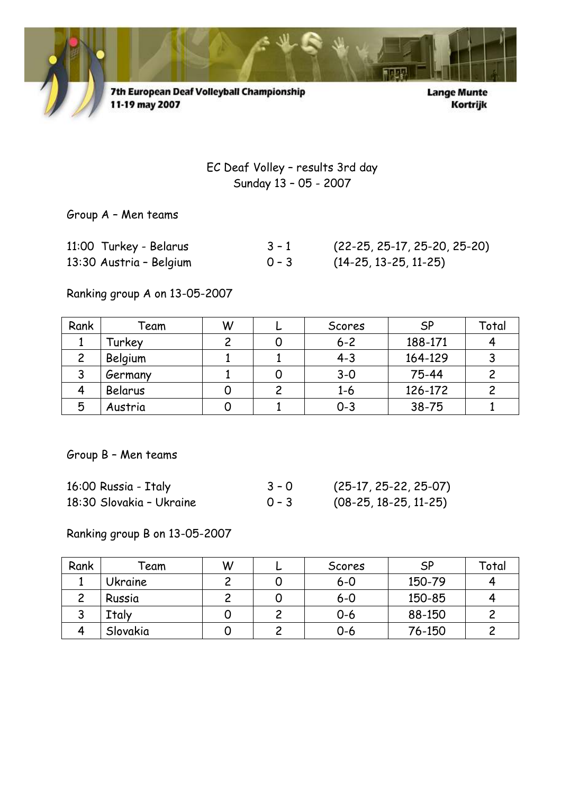

7th European Deaf Volleyball Championship<br>11-19 may 2007

**Lange Munte** Kortrijk

EC Deaf Volley – results 3rd day Sunday 13 – 05 - 2007

Group A – Men teams

| 11:00 Turkey - Belarus  | $3 - 1$ | $(22-25, 25-17, 25-20, 25-20)$ |
|-------------------------|---------|--------------------------------|
| 13:30 Austria - Belgium | $0 - 3$ | $(14-25, 13-25, 11-25)$        |

Ranking group A on 13-05-2007

| Rank | Team    | W | Scores  | <b>SP</b> | Total |
|------|---------|---|---------|-----------|-------|
|      | Turkey  |   | $6 - 2$ | 188-171   |       |
|      | Belgium |   | $4 - 3$ | 164-129   |       |
|      | Germany |   | $3 - 0$ | 75-44     |       |
|      | Belarus |   | $1 - 6$ | 126-172   |       |
| 5    | Austria |   | $0 - 3$ | $38 - 75$ |       |

Group B – Men teams

| 16:00 Russia - Italy     | $3 - 0$ | $(25-17, 25-22, 25-07)$ |
|--------------------------|---------|-------------------------|
| 18:30 Slovakia - Ukraine | $0 - 3$ | $(08-25, 18-25, 11-25)$ |

Ranking group B on 13-05-2007

| Rank | $\mathop{}\!\mathsf{eam}$ | W | Scores  | <b>SP</b> | Total |
|------|---------------------------|---|---------|-----------|-------|
|      | Ukraine                   |   | $6 - 0$ | 150-79    |       |
|      | Russia                    |   | $6 - 0$ | 150-85    |       |
| پ    | Italy                     |   | $0 - 6$ | 88-150    |       |
|      | Slovakia                  |   | 0-6     | 76-150    |       |